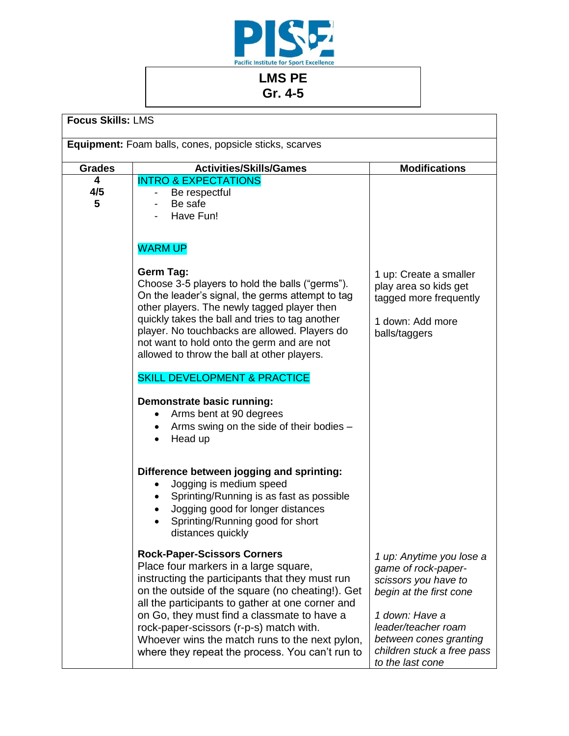

## **LMS PE Gr. 4-5**

| <b>Focus Skills: LMS</b>                               |                                                                                                                                                                                                                                                                                                                                                                                                                                       |                                                                                                                                                                                                                         |  |  |
|--------------------------------------------------------|---------------------------------------------------------------------------------------------------------------------------------------------------------------------------------------------------------------------------------------------------------------------------------------------------------------------------------------------------------------------------------------------------------------------------------------|-------------------------------------------------------------------------------------------------------------------------------------------------------------------------------------------------------------------------|--|--|
| Equipment: Foam balls, cones, popsicle sticks, scarves |                                                                                                                                                                                                                                                                                                                                                                                                                                       |                                                                                                                                                                                                                         |  |  |
| <b>Grades</b>                                          | <b>Activities/Skills/Games</b>                                                                                                                                                                                                                                                                                                                                                                                                        | <b>Modifications</b>                                                                                                                                                                                                    |  |  |
| 4<br>4/5<br>5                                          | <b>INTRO &amp; EXPECTATIONS</b><br>Be respectful<br>Be safe<br>Have Fun!                                                                                                                                                                                                                                                                                                                                                              |                                                                                                                                                                                                                         |  |  |
|                                                        | <b>WARM UP</b>                                                                                                                                                                                                                                                                                                                                                                                                                        |                                                                                                                                                                                                                         |  |  |
|                                                        | <b>Germ Tag:</b><br>Choose 3-5 players to hold the balls ("germs").<br>On the leader's signal, the germs attempt to tag<br>other players. The newly tagged player then<br>quickly takes the ball and tries to tag another<br>player. No touchbacks are allowed. Players do<br>not want to hold onto the germ and are not<br>allowed to throw the ball at other players.                                                               | 1 up: Create a smaller<br>play area so kids get<br>tagged more frequently<br>1 down: Add more<br>balls/taggers                                                                                                          |  |  |
|                                                        | <b>SKILL DEVELOPMENT &amp; PRACTICE</b>                                                                                                                                                                                                                                                                                                                                                                                               |                                                                                                                                                                                                                         |  |  |
|                                                        | Demonstrate basic running:<br>Arms bent at 90 degrees<br>Arms swing on the side of their bodies -<br>Head up                                                                                                                                                                                                                                                                                                                          |                                                                                                                                                                                                                         |  |  |
|                                                        | Difference between jogging and sprinting:<br>Jogging is medium speed<br>Sprinting/Running is as fast as possible<br>Jogging good for longer distances<br>Sprinting/Running good for short<br>distances quickly                                                                                                                                                                                                                        |                                                                                                                                                                                                                         |  |  |
|                                                        | <b>Rock-Paper-Scissors Corners</b><br>Place four markers in a large square,<br>instructing the participants that they must run<br>on the outside of the square (no cheating!). Get<br>all the participants to gather at one corner and<br>on Go, they must find a classmate to have a<br>rock-paper-scissors (r-p-s) match with.<br>Whoever wins the match runs to the next pylon,<br>where they repeat the process. You can't run to | 1 up: Anytime you lose a<br>game of rock-paper-<br>scissors you have to<br>begin at the first cone<br>1 down: Have a<br>leader/teacher roam<br>between cones granting<br>children stuck a free pass<br>to the last cone |  |  |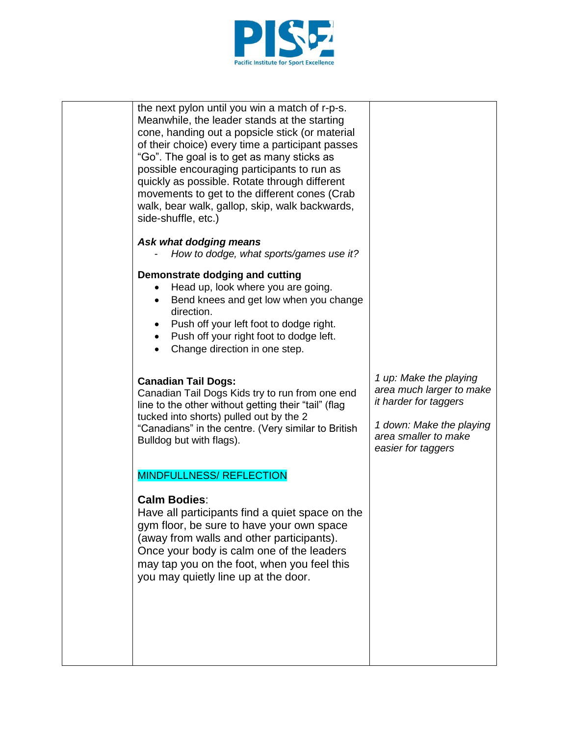

| the next pylon until you win a match of r-p-s.<br>Meanwhile, the leader stands at the starting<br>cone, handing out a popsicle stick (or material<br>of their choice) every time a participant passes<br>"Go". The goal is to get as many sticks as<br>possible encouraging participants to run as<br>quickly as possible. Rotate through different<br>movements to get to the different cones (Crab<br>walk, bear walk, gallop, skip, walk backwards,<br>side-shuffle, etc.) |                                                                                                                                                       |
|-------------------------------------------------------------------------------------------------------------------------------------------------------------------------------------------------------------------------------------------------------------------------------------------------------------------------------------------------------------------------------------------------------------------------------------------------------------------------------|-------------------------------------------------------------------------------------------------------------------------------------------------------|
| Ask what dodging means<br>How to dodge, what sports/games use it?                                                                                                                                                                                                                                                                                                                                                                                                             |                                                                                                                                                       |
| Demonstrate dodging and cutting<br>Head up, look where you are going.<br>Bend knees and get low when you change<br>direction.<br>Push off your left foot to dodge right.<br>Push off your right foot to dodge left.<br>$\bullet$<br>Change direction in one step.                                                                                                                                                                                                             |                                                                                                                                                       |
| <b>Canadian Tail Dogs:</b><br>Canadian Tail Dogs Kids try to run from one end<br>line to the other without getting their "tail" (flag<br>tucked into shorts) pulled out by the 2<br>"Canadians" in the centre. (Very similar to British<br>Bulldog but with flags).                                                                                                                                                                                                           | 1 up: Make the playing<br>area much larger to make<br>it harder for taggers<br>1 down: Make the playing<br>area smaller to make<br>easier for taggers |
| <b>MINDFULLNESS/ REFLECTION</b>                                                                                                                                                                                                                                                                                                                                                                                                                                               |                                                                                                                                                       |
| <b>Calm Bodies:</b><br>Have all participants find a quiet space on the<br>gym floor, be sure to have your own space<br>(away from walls and other participants).<br>Once your body is calm one of the leaders<br>may tap you on the foot, when you feel this<br>you may quietly line up at the door.                                                                                                                                                                          |                                                                                                                                                       |